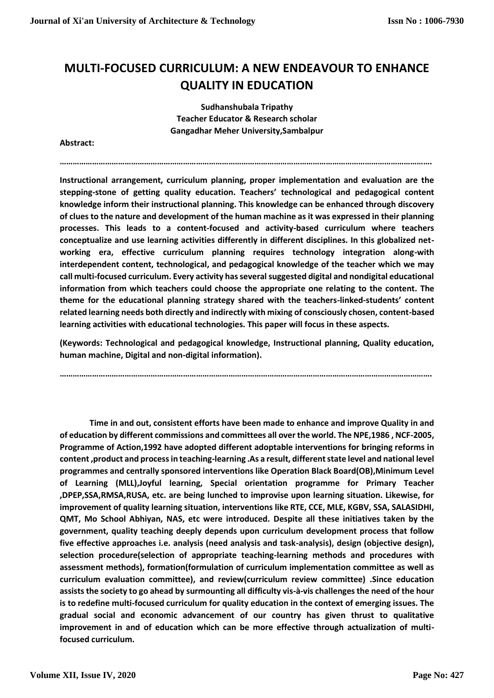## **MULTI-FOCUSED CURRICULUM: A NEW ENDEAVOUR TO ENHANCE QUALITY IN EDUCATION**

**Sudhanshubala Tripathy Teacher Educator & Research scholar Gangadhar Meher University,Sambalpur**

**……………………………………………………………………………………………………………………………………………………….**

**Abstract:**

**Instructional arrangement, curriculum planning, proper implementation and evaluation are the stepping-stone of getting quality education. Teachers' technological and pedagogical content knowledge inform their instructional planning. This knowledge can be enhanced through discovery of clues to the nature and development of the human machine as it was expressed in their planning processes. This leads to a content-focused and activity-based curriculum where teachers conceptualize and use learning activities differently in different disciplines. In this globalized networking era, effective curriculum planning requires technology integration along-with interdependent content, technological, and pedagogical knowledge of the teacher which we may call multi-focused curriculum. Every activity has several suggested digital and nondigital educational information from which teachers could choose the appropriate one relating to the content. The theme for the educational planning strategy shared with the teachers-linked-students' content related learning needs both directly and indirectly with mixing of consciously chosen, content-based learning activities with educational technologies. This paper will focus in these aspects.** 

**(Keywords: Technological and pedagogical knowledge, Instructional planning, Quality education, human machine, Digital and non-digital information).**

**……………………………………………………………………………………………………………………………………………………….**

**Time in and out, consistent efforts have been made to enhance and improve Quality in and of education by different commissions and committees all over the world. The NPE,1986 , NCF-2005, Programme of Action,1992 have adopted different adoptable interventions for bringing reforms in content ,product and process in teaching-learning .As a result, different state level and national level programmes and centrally sponsored interventions like Operation Black Board(OB),Minimum Level of Learning (MLL),Joyful learning, Special orientation programme for Primary Teacher ,DPEP,SSA,RMSA,RUSA, etc. are being lunched to improvise upon learning situation. Likewise, for improvement of quality learning situation, interventions like RTE, CCE, MLE, KGBV, SSA, SALASIDHI, QMT, Mo School Abhiyan, NAS, etc were introduced. Despite all these initiatives taken by the government, quality teaching deeply depends upon curriculum development process that follow five effective approaches i.e. analysis (need analysis and task-analysis), design (objective design), selection procedure(selection of appropriate teaching-learning methods and procedures with assessment methods), formation(formulation of curriculum implementation committee as well as curriculum evaluation committee), and review(curriculum review committee) .Since education assists the society to go ahead by surmounting all difficulty vis-à-vis challenges the need of the hour is to redefine multi-focused curriculum for quality education in the context of emerging issues. The gradual social and economic advancement of our country has given thrust to qualitative improvement in and of education which can be more effective through actualization of multifocused curriculum.**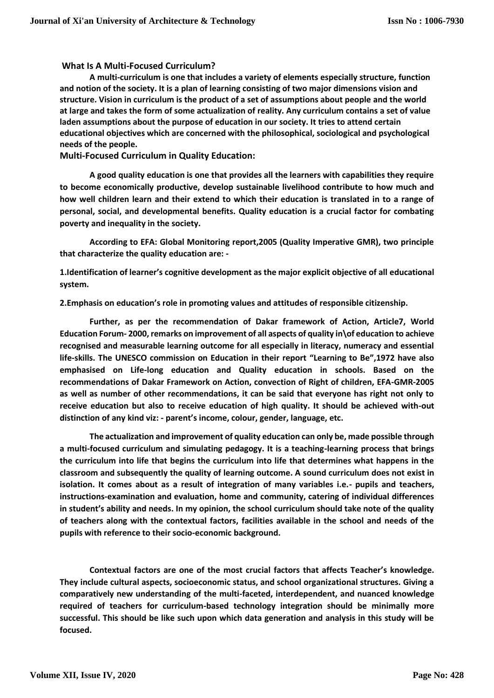## **What Is A Multi-Focused Curriculum?**

**A multi-curriculum is one that includes a variety of elements especially structure, function and notion of the society. It is a plan of learning consisting of two major dimensions vision and structure. Vision in curriculum is the product of a set of assumptions about people and the world at large and takes the form of some actualization of reality. Any curriculum contains a set of value laden assumptions about the purpose of education in our society. It tries to attend certain educational objectives which are concerned with the philosophical, sociological and psychological needs of the people.**

**Multi-Focused Curriculum in Quality Education:**

**A good quality education is one that provides all the learners with capabilities they require to become economically productive, develop sustainable livelihood contribute to how much and how well children learn and their extend to which their education is translated in to a range of personal, social, and developmental benefits. Quality education is a crucial factor for combating poverty and inequality in the society.** 

**According to EFA: Global Monitoring report,2005 (Quality Imperative GMR), two principle that characterize the quality education are: -**

**1.Identification of learner's cognitive development as the major explicit objective of all educational system.**

**2.Emphasis on education's role in promoting values and attitudes of responsible citizenship.**

**Further, as per the recommendation of Dakar framework of Action, Article7, World Education Forum- 2000, remarks on improvement of all aspects of quality in\of education to achieve recognised and measurable learning outcome for all especially in literacy, numeracy and essential life-skills. The UNESCO commission on Education in their report "Learning to Be",1972 have also emphasised on Life-long education and Quality education in schools. Based on the recommendations of Dakar Framework on Action, convection of Right of children, EFA-GMR-2005 as well as number of other recommendations, it can be said that everyone has right not only to receive education but also to receive education of high quality. It should be achieved with-out distinction of any kind viz: - parent's income, colour, gender, language, etc.**

**The actualization and improvement of quality education can only be, made possible through a multi-focused curriculum and simulating pedagogy. It is a teaching-learning process that brings the curriculum into life that begins the curriculum into life that determines what happens in the classroom and subsequently the quality of learning outcome. A sound curriculum does not exist in isolation. It comes about as a result of integration of many variables i.e.- pupils and teachers, instructions-examination and evaluation, home and community, catering of individual differences in student's ability and needs. In my opinion, the school curriculum should take note of the quality of teachers along with the contextual factors, facilities available in the school and needs of the pupils with reference to their socio-economic background.** 

**Contextual factors are one of the most crucial factors that affects Teacher's knowledge. They include cultural aspects, socioeconomic status, and school organizational structures. Giving a comparatively new understanding of the multi-faceted, interdependent, and nuanced knowledge required of teachers for curriculum-based technology integration should be minimally more successful. This should be like such upon which data generation and analysis in this study will be focused.**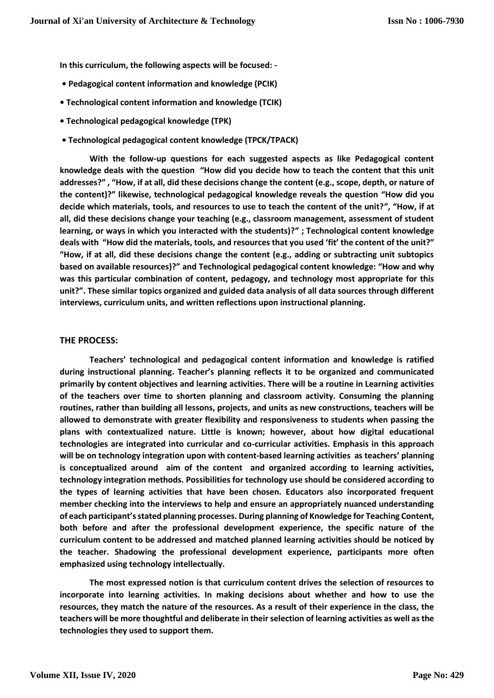**In this curriculum, the following aspects will be focused: -**

- **• Pedagogical content information and knowledge (PCIK)**
- **• Technological content information and knowledge (TCIK)**
- **• Technological pedagogical knowledge (TPK)**
- **• Technological pedagogical content knowledge (TPCK/TPACK)**

**With the follow-up questions for each suggested aspects as like Pedagogical content knowledge deals with the question "How did you decide how to teach the content that this unit addresses?" , "How, if at all, did these decisions change the content (e.g., scope, depth, or nature of the content)?" likewise, technological pedagogical knowledge reveals the question "How did you decide which materials, tools, and resources to use to teach the content of the unit?", "How, if at all, did these decisions change your teaching (e.g., classroom management, assessment of student learning, or ways in which you interacted with the students)?" ; Technological content knowledge deals with "How did the materials, tools, and resources that you used 'fit' the content of the unit?" "How, if at all, did these decisions change the content (e.g., adding or subtracting unit subtopics based on available resources)?" and Technological pedagogical content knowledge: "How and why was this particular combination of content, pedagogy, and technology most appropriate for this unit?". These similar topics organized and guided data analysis of all data sources through different interviews, curriculum units, and written reflections upon instructional planning.**

## **THE PROCESS:**

**Teachers' technological and pedagogical content information and knowledge is ratified during instructional planning. Teacher's planning reflects it to be organized and communicated primarily by content objectives and learning activities. There will be a routine in Learning activities of the teachers over time to shorten planning and classroom activity. Consuming the planning routines, rather than building all lessons, projects, and units as new constructions, teachers will be allowed to demonstrate with greater flexibility and responsiveness to students when passing the plans with contextualized nature. Little is known; however, about how digital educational technologies are integrated into curricular and co-curricular activities. Emphasis in this approach will be on technology integration upon with content-based learning activities as teachers' planning is conceptualized around aim of the content and organized according to learning activities, technology integration methods. Possibilities for technology use should be considered according to the types of learning activities that have been chosen. Educators also incorporated frequent member checking into the interviews to help and ensure an appropriately nuanced understanding of each participant's stated planning processes. During planning of Knowledge for Teaching Content, both before and after the professional development experience, the specific nature of the curriculum content to be addressed and matched planned learning activities should be noticed by the teacher. Shadowing the professional development experience, participants more often emphasized using technology intellectually.**

**The most expressed notion is that curriculum content drives the selection of resources to incorporate into learning activities. In making decisions about whether and how to use the resources, they match the nature of the resources. As a result of their experience in the class, the teachers will be more thoughtful and deliberate in their selection of learning activities as well as the technologies they used to support them.**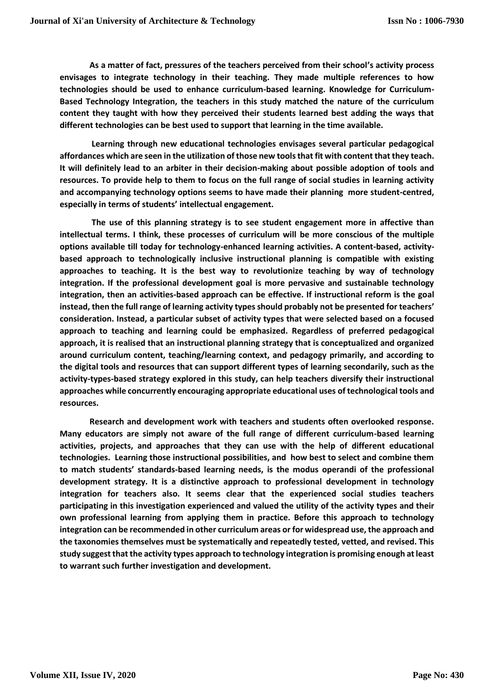**As a matter of fact, pressures of the teachers perceived from their school's activity process envisages to integrate technology in their teaching. They made multiple references to how technologies should be used to enhance curriculum-based learning. Knowledge for Curriculum-Based Technology Integration, the teachers in this study matched the nature of the curriculum content they taught with how they perceived their students learned best adding the ways that different technologies can be best used to support that learning in the time available.**

**Learning through new educational technologies envisages several particular pedagogical affordances which are seen in the utilization of those new tools that fit with content that they teach. It will definitely lead to an arbiter in their decision-making about possible adoption of tools and resources. To provide help to them to focus on the full range of social studies in learning activity and accompanying technology options seems to have made their planning more student-centred, especially in terms of students' intellectual engagement.**

**The use of this planning strategy is to see student engagement more in affective than intellectual terms. I think, these processes of curriculum will be more conscious of the multiple options available till today for technology-enhanced learning activities. A content-based, activitybased approach to technologically inclusive instructional planning is compatible with existing approaches to teaching. It is the best way to revolutionize teaching by way of technology integration. If the professional development goal is more pervasive and sustainable technology integration, then an activities-based approach can be effective. If instructional reform is the goal instead, then the full range of learning activity types should probably not be presented for teachers' consideration. Instead, a particular subset of activity types that were selected based on a focused approach to teaching and learning could be emphasized. Regardless of preferred pedagogical approach, it is realised that an instructional planning strategy that is conceptualized and organized around curriculum content, teaching/learning context, and pedagogy primarily, and according to the digital tools and resources that can support different types of learning secondarily, such as the activity-types-based strategy explored in this study, can help teachers diversify their instructional approaches while concurrently encouraging appropriate educational uses of technological tools and resources.**

**Research and development work with teachers and students often overlooked response. Many educators are simply not aware of the full range of different curriculum-based learning activities, projects, and approaches that they can use with the help of different educational technologies. Learning those instructional possibilities, and how best to select and combine them to match students' standards-based learning needs, is the modus operandi of the professional development strategy. It is a distinctive approach to professional development in technology integration for teachers also. It seems clear that the experienced social studies teachers participating in this investigation experienced and valued the utility of the activity types and their own professional learning from applying them in practice. Before this approach to technology integration can be recommended in other curriculum areas or for widespread use, the approach and the taxonomies themselves must be systematically and repeatedly tested, vetted, and revised. This study suggest that the activity types approach to technology integration is promising enough at least to warrant such further investigation and development.**